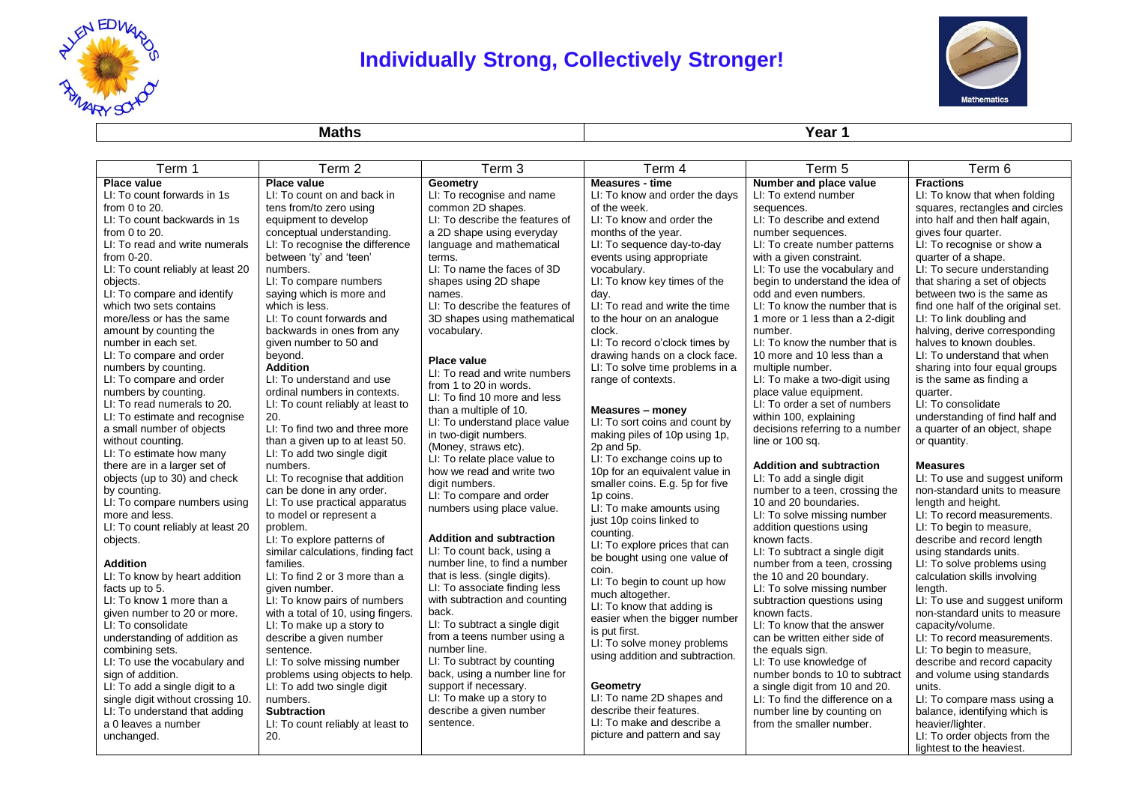

# **Individually Strong, Collectively Stronger!**



**Maths Year 1**

| Term 1                                          | Term 2                                                     | Term 3                                                          | Term 4                                                 | Term 5                                                     | Term 6                                            |
|-------------------------------------------------|------------------------------------------------------------|-----------------------------------------------------------------|--------------------------------------------------------|------------------------------------------------------------|---------------------------------------------------|
| <b>Place value</b>                              | <b>Place value</b>                                         | Geometry                                                        | <b>Measures - time</b>                                 | Number and place value                                     | <b>Fractions</b>                                  |
| LI: To count forwards in 1s                     | LI: To count on and back in                                | LI: To recognise and name                                       | LI: To know and order the days                         | LI: To extend number                                       | LI: To know that when folding                     |
| from $0$ to $20$ .                              | tens from/to zero using                                    | common 2D shapes.                                               | of the week.                                           | sequences.                                                 | squares, rectangles and circles                   |
| LI: To count backwards in 1s                    | equipment to develop                                       | LI: To describe the features of                                 | LI: To know and order the                              | LI: To describe and extend                                 | into half and then half again,                    |
| from $0$ to $20$ .                              | conceptual understanding.                                  | a 2D shape using everyday                                       | months of the year.                                    | number sequences.                                          | gives four quarter.                               |
| LI: To read and write numerals<br>from $0-20$ . | LI: To recognise the difference<br>between 'ty' and 'teen' | language and mathematical<br>terms.                             | LI: To sequence day-to-day<br>events using appropriate | LI: To create number patterns<br>with a given constraint.  | LI: To recognise or show a<br>quarter of a shape. |
| LI: To count reliably at least 20               | numbers.                                                   | LI: To name the faces of 3D                                     | vocabulary.                                            | LI: To use the vocabulary and                              | LI: To secure understanding                       |
| objects.                                        | LI: To compare numbers                                     | shapes using 2D shape                                           | LI: To know key times of the                           | begin to understand the idea of                            | that sharing a set of objects                     |
| LI: To compare and identify                     | saying which is more and                                   | names.                                                          | day.                                                   | odd and even numbers.                                      | between two is the same as                        |
| which two sets contains                         | which is less.                                             | LI: To describe the features of                                 | LI: To read and write the time                         | LI: To know the number that is                             | find one half of the original set.                |
| more/less or has the same                       | LI: To count forwards and                                  | 3D shapes using mathematical                                    | to the hour on an analogue                             | 1 more or 1 less than a 2-digit                            | LI: To link doubling and                          |
| amount by counting the                          | backwards in ones from any                                 | vocabulary.                                                     | clock.                                                 | number.                                                    | halving, derive corresponding                     |
| number in each set.                             | given number to 50 and                                     |                                                                 | LI: To record o'clock times by                         | LI: To know the number that is                             | halves to known doubles.                          |
| LI: To compare and order                        | beyond.                                                    | <b>Place value</b>                                              | drawing hands on a clock face.                         | 10 more and 10 less than a                                 | LI: To understand that when                       |
| numbers by counting.                            | <b>Addition</b>                                            | LI: To read and write numbers                                   | LI: To solve time problems in a                        | multiple number.                                           | sharing into four equal groups                    |
| LI: To compare and order                        | LI: To understand and use                                  | from 1 to 20 in words.                                          | range of contexts.                                     | LI: To make a two-digit using                              | is the same as finding a                          |
| numbers by counting.                            | ordinal numbers in contexts.                               | LI: To find 10 more and less                                    |                                                        | place value equipment.                                     | quarter.                                          |
| LI: To read numerals to 20.                     | LI: To count reliably at least to                          | than a multiple of 10.                                          | Measures - money                                       | LI: To order a set of numbers                              | LI: To consolidate                                |
| LI: To estimate and recognise                   | 20.<br>LI: To find two and three more                      | LI: To understand place value                                   | LI: To sort coins and count by                         | within 100, explaining                                     | understanding of find half and                    |
| a small number of objects<br>without counting.  | than a given up to at least 50.                            | in two-digit numbers.                                           | making piles of 10p using 1p,                          | decisions referring to a number<br>line or 100 sq.         | a quarter of an object, shape<br>or quantity.     |
| LI: To estimate how many                        | LI: To add two single digit                                | (Money, straws etc).                                            | 2p and 5p.                                             |                                                            |                                                   |
| there are in a larger set of                    | numbers.                                                   | LI: To relate place value to                                    | LI: To exchange coins up to                            | <b>Addition and subtraction</b>                            | <b>Measures</b>                                   |
| objects (up to 30) and check                    | LI: To recognise that addition                             | how we read and write two                                       | 10p for an equivalent value in                         | LI: To add a single digit                                  | LI: To use and suggest uniform                    |
| by counting.                                    | can be done in any order.                                  | digit numbers.                                                  | smaller coins. E.g. 5p for five                        | number to a teen, crossing the                             | non-standard units to measure                     |
| LI: To compare numbers using                    | LI: To use practical apparatus                             | LI: To compare and order<br>numbers using place value.          | 1p coins.<br>LI: To make amounts using                 | 10 and 20 boundaries.                                      | length and height.                                |
| more and less.                                  | to model or represent a                                    |                                                                 | just 10p coins linked to                               | LI: To solve missing number                                | LI: To record measurements.                       |
| LI: To count reliably at least 20               | problem.                                                   |                                                                 | counting.                                              | addition questions using                                   | LI: To begin to measure,                          |
| objects.                                        | LI: To explore patterns of                                 | <b>Addition and subtraction</b>                                 | LI: To explore prices that can                         | known facts.                                               | describe and record length                        |
|                                                 | similar calculations, finding fact                         | LI: To count back, using a                                      | be bought using one value of                           | LI: To subtract a single digit                             | using standards units.                            |
| <b>Addition</b>                                 | families.                                                  | number line, to find a number                                   | coin.                                                  | number from a teen, crossing                               | LI: To solve problems using                       |
| LI: To know by heart addition                   | LI: To find 2 or 3 more than a                             | that is less. (single digits).<br>LI: To associate finding less | LI: To begin to count up how                           | the 10 and 20 boundary.                                    | calculation skills involving                      |
| facts up to 5.<br>LI: To know 1 more than a     | given number.<br>LI: To know pairs of numbers              | with subtraction and counting                                   | much altogether.                                       | LI: To solve missing number<br>subtraction questions using | length.<br>LI: To use and suggest uniform         |
| given number to 20 or more.                     | with a total of 10, using fingers.                         | back.                                                           | LI: To know that adding is                             | known facts.                                               | non-standard units to measure                     |
| LI: To consolidate                              | LI: To make up a story to                                  | LI: To subtract a single digit                                  | easier when the bigger number                          | LI: To know that the answer                                | capacity/volume.                                  |
| understanding of addition as                    | describe a given number                                    | from a teens number using a                                     | is put first.                                          | can be written either side of                              | LI: To record measurements.                       |
| combining sets.                                 | sentence.                                                  | number line.                                                    | LI: To solve money problems                            | the equals sign.                                           | LI: To begin to measure,                          |
| LI: To use the vocabulary and                   | LI: To solve missing number                                | LI: To subtract by counting                                     | using addition and subtraction.                        | LI: To use knowledge of                                    | describe and record capacity                      |
| sign of addition.                               | problems using objects to help.                            | back, using a number line for                                   |                                                        | number bonds to 10 to subtract                             | and volume using standards                        |
| LI: To add a single digit to a                  | LI: To add two single digit                                | support if necessary.                                           | Geometry                                               | a single digit from 10 and 20.                             | units.                                            |
| single digit without crossing 10.               | numbers.                                                   | LI: To make up a story to                                       | LI: To name 2D shapes and                              | LI: To find the difference on a                            | LI: To compare mass using a                       |
| LI: To understand that adding                   | <b>Subtraction</b>                                         | describe a given number                                         | describe their features.                               | number line by counting on                                 | balance, identifying which is                     |
| a 0 leaves a number                             | LI: To count reliably at least to                          | sentence.                                                       | LI: To make and describe a                             | from the smaller number.                                   | heavier/lighter.                                  |
| unchanged.                                      | 20.                                                        |                                                                 | picture and pattern and say                            |                                                            | LI: To order objects from the                     |
|                                                 |                                                            |                                                                 |                                                        |                                                            | lightest to the heaviest.                         |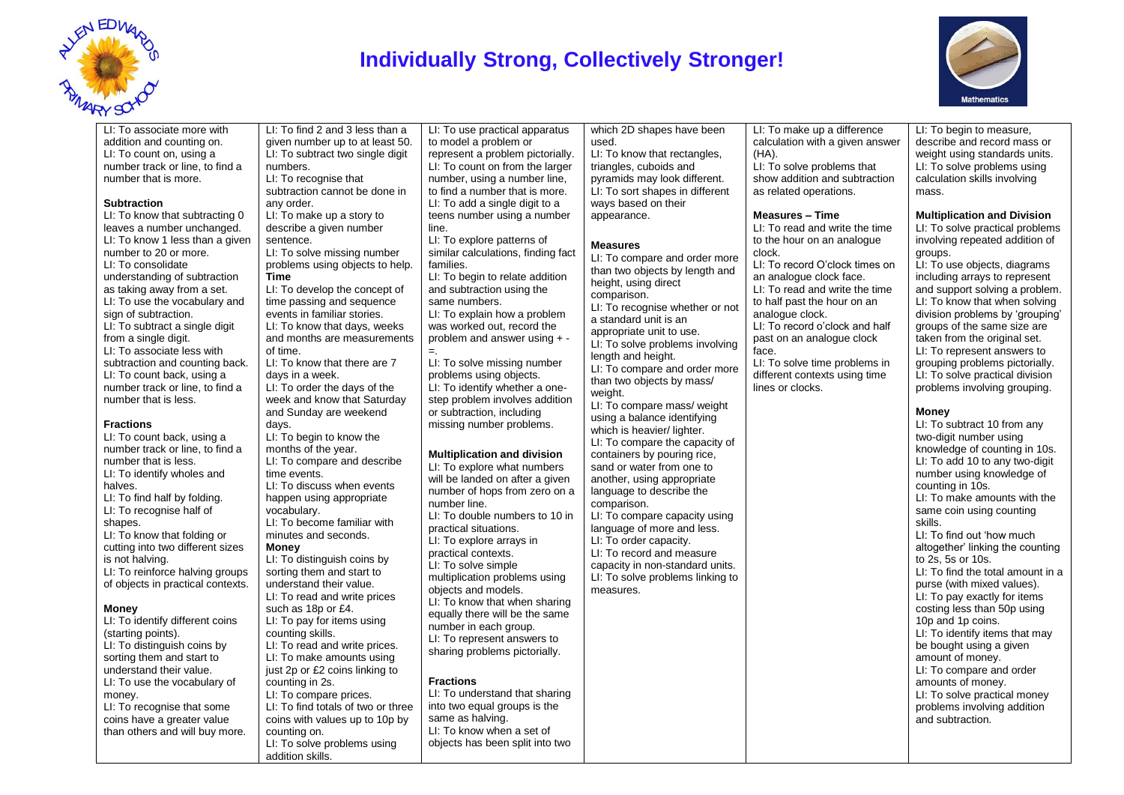

## **Individually Strong, Collectively Stronger!**



#### LI: To associate more with addition and counting on. LI: To count on, using a number track or line, to find a number that is more.

#### **Subtraction**

LI: To know that subtracting 0 leaves a number unchanged. LI: To know 1 less than a given number to 20 or more. LI: To consolidate understanding of subtraction as taking away from a set. LI: To use the vocabulary and sign of subtraction. LI: To subtract a single digit from a single digit. LI: To associate less with subtraction and counting back. LI: To count back, using a number track or line, to find a number that is less.

### **Fractions**

LI: To count back, using a number track or line, to find a number that is less. LI: To identify wholes and halves. LI: To find half by folding. LI: To recognise half of shapes. LI: To know that folding or cutting into two different sizes is not halving. LI: To reinforce halving groups of objects in practical contexts.

#### **Money**

LI: To identify different coins (starting points). LI: To distinguish coins by sorting them and start to understand their value. LI: To use the vocabulary of money. LI: To recognise that some coins have a greater value than others and will buy more. LI: To find 2 and 3 less than a given number up to at least 50. LI: To subtract two single digit numbers. LI: To recognise that subtraction cannot be done in any order. LI: To make up a story to describe a given number sentence. LI: To solve missing number problems using objects to help. **Time** LI: To develop the concept of time passing and sequence events in familiar stories. LI: To know that days, weeks and months are measurements of time. LI: To know that there are 7 days in a week. LI: To order the days of the week and know that Saturday and Sunday are weekend days. LI: To begin to know the months of the year. LI: To compare and describe time events. LI: To discuss when events happen using appropriate vocabulary. LI: To become familiar with minutes and seconds. **Money** LI: To distinguish coins by sorting them and start to understand their value. LI: To read and write prices such as 18p or £4. LI: To pay for items using counting skills. LI: To read and write prices. LI: To make amounts using just 2p or £2 coins linking to counting in 2s. LI: To compare prices. LI: To find totals of two or three coins with values up to 10p by counting on. LI: To solve problems using

addition skills.

LI: To use practical apparatus to model a problem or represent a problem pictorially. LI: To count on from the larger number, using a number line, to find a number that is more. LI: To add a single digit to a teens number using a number line.

LI: To explore patterns of similar calculations, finding fact families.

LI: To begin to relate addition and subtraction using the same numbers. LI: To explain how a problem

was worked out, record the problem and answer using + - =.

LI: To solve missing number problems using objects. LI: To identify whether a onestep problem involves addition or subtraction, including missing number problems.

#### **Multiplication and division**

LI: To explore what numbers will be landed on after a given number of hops from zero on a number line. LI: To double numbers to 10 in practical situations. LI: To explore arrays in practical contexts. LI: To solve simple multiplication problems using objects and models. LI: To know that when sharing equally there will be the same number in each group. LI: To represent answers to sharing problems pictorially.

### **Fractions**

LI: To understand that sharing into two equal groups is the same as halving. LI: To know when a set of objects has been split into two

which 2D shapes have been used. LI: To know that rectangles, triangles, cuboids and pyramids may look different.

LI: To sort shapes in different ways based on their appearance.

### **Measures**

LI: To compare and order more than two objects by length and height, using direct comparison. LI: To recognise whether or not a standard unit is an appropriate unit to use. LI: To solve problems involving length and height. LI: To compare and order more than two objects by mass/ weight.

LI: To compare mass/ weight using a balance identifying which is heavier/ lighter. LI: To compare the capacity of containers by pouring rice, sand or water from one to another, using appropriate language to describe the comparison. LI: To compare capacity using language of more and less. LI: To order capacity. LI: To record and measure capacity in non-standard units. LI: To solve problems linking to measures.

LI: To make up a difference calculation with a given answer (HA). LI: To solve problems that show addition and subtraction as related operations. LI: To begin to measure,

#### **Measures – Time**

LI: To read and write the time to the hour on an analogue clock.

LI: To record O'clock times on an analogue clock face. LI: To read and write the time to half past the hour on an analogue clock.

LI: To record o'clock and half past on an analogue clock face.

LI: To solve time problems in different contexts using time lines or clocks.

describe and record mass or weight using standards units. LI: To solve problems using calculation skills involving mass.

### **Multiplication and Division**

LI: To solve practical problems involving repeated addition of groups. LI: To use objects, diagrams

including arrays to represent and support solving a problem. LI: To know that when solving division problems by 'grouping' groups of the same size are taken from the original set. LI: To represent answers to grouping problems pictorially. LI: To solve practical division problems involving grouping.

### **Money**

LI: To subtract 10 from any two-digit number using knowledge of counting in 10s. LI: To add 10 to any two-digit number using knowledge of counting in 10s. LI: To make amounts with the same coin using counting skills. LI: To find out 'how much altogether' linking the counting to 2s, 5s or 10s. LI: To find the total amount in a purse (with mixed values). LI: To pay exactly for items costing less than 50p using 10p and 1p coins. LI: To identify items that may be bought using a given amount of money. LI: To compare and order amounts of money. LI: To solve practical money problems involving addition and subtraction.